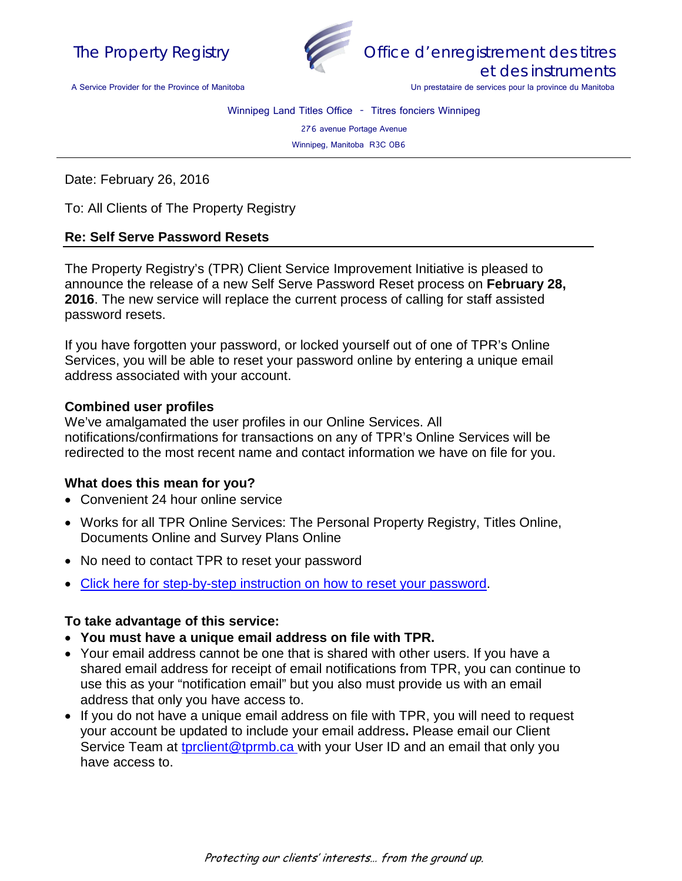



Office d'enregistrement des titres et des instruments

Un prestataire de services pour la province du Manitoba

A Service Provider for the Province of Manitoba

Winnipeg Land Titles Office - Titres fonciers Winnipeg

276 avenue Portage Avenue

Winnipeg, Manitoba R3C 0B6

Date: February 26, 2016

To: All Clients of The Property Registry

## **Re: Self Serve Password Resets**

The Property Registry's (TPR) Client Service Improvement Initiative is pleased to announce the release of a new Self Serve Password Reset process on **February 28, 2016**. The new service will replace the current process of calling for staff assisted password resets.

If you have forgotten your password, or locked yourself out of one of TPR's Online Services, you will be able to reset your password online by entering a unique email address associated with your account.

## **Combined user profiles**

We've amalgamated the user profiles in our Online Services. All notifications/confirmations for transactions on any of TPR's Online Services will be redirected to the most recent name and contact information we have on file for you.

## **What does this mean for you?**

- Convenient 24 hour online service
- Works for all TPR Online Services: The Personal Property Registry, Titles Online, Documents Online and Survey Plans Online
- No need to contact TPR to reset your password
- [Click here for step-by-step instruction on how to reset your password.](http://www.tprmb.ca/tpr/land_titles/lto_offices/docs/sspr_quick_reference_guide.pdf)

## **To take advantage of this service:**

- **You must have a unique email address on file with TPR.**
- Your email address cannot be one that is shared with other users. If you have a shared email address for receipt of email notifications from TPR, you can continue to use this as your "notification email" but you also must provide us with an email address that only you have access to.
- If you do not have a unique email address on file with TPR, you will need to request your account be updated to include your email address**.** Please email our Client Service Team at [tprclient@tprmb.ca](mailto:tprclient@tprmb.ca) with your User ID and an email that only you have access to.